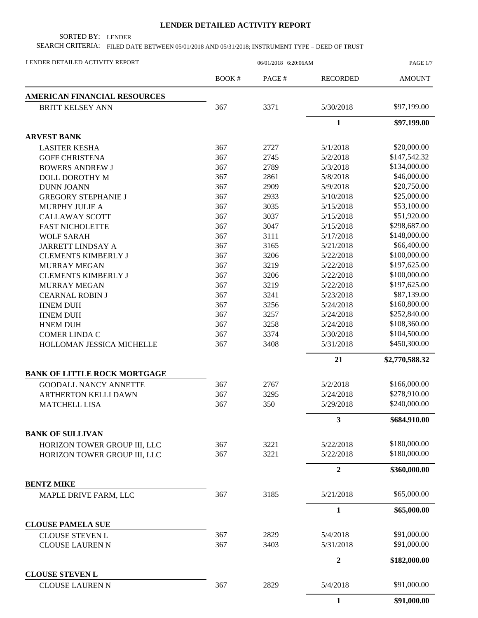## **LENDER DETAILED ACTIVITY REPORT**

SORTED BY: LENDER

SEARCH CRITERIA: FILED DATE BETWEEN 05/01/2018 AND 05/31/2018; INSTRUMENT TYPE = DEED OF TRUST

| LENDER DETAILED ACTIVITY REPORT                  | 06/01/2018 6:20:06AM |       |                         | PAGE 1/7       |
|--------------------------------------------------|----------------------|-------|-------------------------|----------------|
|                                                  | BOOK#                | PAGE# | <b>RECORDED</b>         | <b>AMOUNT</b>  |
| AMERICAN FINANCIAL RESOURCES                     |                      |       |                         |                |
| <b>BRITT KELSEY ANN</b>                          | 367                  | 3371  | 5/30/2018               | \$97,199.00    |
|                                                  |                      |       | $\mathbf{1}$            | \$97,199.00    |
| <b>ARVEST BANK</b>                               |                      |       |                         |                |
| <b>LASITER KESHA</b>                             | 367                  | 2727  | 5/1/2018                | \$20,000.00    |
| <b>GOFF CHRISTENA</b>                            | 367                  | 2745  | 5/2/2018                | \$147,542.32   |
| <b>BOWERS ANDREW J</b>                           | 367                  | 2789  | 5/3/2018                | \$134,000.00   |
| DOLL DOROTHY M                                   | 367                  | 2861  | 5/8/2018                | \$46,000.00    |
| <b>DUNN JOANN</b>                                | 367                  | 2909  | 5/9/2018                | \$20,750.00    |
| <b>GREGORY STEPHANIE J</b>                       | 367                  | 2933  | 5/10/2018               | \$25,000.00    |
| MURPHY JULIE A                                   | 367                  | 3035  | 5/15/2018               | \$53,100.00    |
| <b>CALLAWAY SCOTT</b>                            | 367                  | 3037  | 5/15/2018               | \$51,920.00    |
| <b>FAST NICHOLETTE</b>                           | 367                  | 3047  | 5/15/2018               | \$298,687.00   |
| <b>WOLF SARAH</b>                                | 367                  | 3111  | 5/17/2018               | \$148,000.00   |
| <b>JARRETT LINDSAY A</b>                         | 367                  | 3165  | 5/21/2018               | \$66,400.00    |
| <b>CLEMENTS KIMBERLY J</b>                       | 367                  | 3206  | 5/22/2018               | \$100,000.00   |
| <b>MURRAY MEGAN</b>                              | 367                  | 3219  | 5/22/2018               | \$197,625.00   |
| <b>CLEMENTS KIMBERLY J</b>                       | 367                  | 3206  | 5/22/2018               | \$100,000.00   |
| <b>MURRAY MEGAN</b>                              | 367                  | 3219  | 5/22/2018               | \$197,625.00   |
| <b>CEARNAL ROBIN J</b>                           | 367                  | 3241  | 5/23/2018               | \$87,139.00    |
| <b>HNEM DUH</b>                                  | 367                  | 3256  | 5/24/2018               | \$160,800.00   |
| <b>HNEM DUH</b>                                  | 367                  | 3257  | 5/24/2018               | \$252,840.00   |
| <b>HNEM DUH</b>                                  | 367                  | 3258  | 5/24/2018               | \$108,360.00   |
| <b>COMER LINDA C</b>                             | 367                  | 3374  | 5/30/2018               | \$104,500.00   |
| HOLLOMAN JESSICA MICHELLE                        | 367                  | 3408  | 5/31/2018               | \$450,300.00   |
|                                                  |                      |       | 21                      | \$2,770,588.32 |
| <b>BANK OF LITTLE ROCK MORTGAGE</b>              |                      |       |                         |                |
| <b>GOODALL NANCY ANNETTE</b>                     | 367                  | 2767  | 5/2/2018                | \$166,000.00   |
| <b>ARTHERTON KELLI DAWN</b>                      | 367                  | 3295  | 5/24/2018               | \$278,910.00   |
| <b>MATCHELL LISA</b>                             | 367                  | 350   | 5/29/2018               | \$240,000.00   |
|                                                  |                      |       | $\overline{\mathbf{3}}$ | \$684,910.00   |
| <b>BANK OF SULLIVAN</b>                          |                      |       |                         |                |
| HORIZON TOWER GROUP III, LLC                     | 367                  | 3221  | 5/22/2018               | \$180,000.00   |
| HORIZON TOWER GROUP III, LLC                     | 367                  | 3221  | 5/22/2018               | \$180,000.00   |
|                                                  |                      |       | $\overline{2}$          | \$360,000.00   |
| <b>BENTZ MIKE</b>                                |                      |       |                         |                |
| MAPLE DRIVE FARM, LLC                            | 367                  | 3185  | 5/21/2018               | \$65,000.00    |
|                                                  |                      |       | $\mathbf{1}$            | \$65,000.00    |
| <b>CLOUSE PAMELA SUE</b>                         |                      |       |                         |                |
| <b>CLOUSE STEVEN L</b>                           | 367                  | 2829  | 5/4/2018                | \$91,000.00    |
| <b>CLOUSE LAUREN N</b>                           | 367                  | 3403  | 5/31/2018               | \$91,000.00    |
|                                                  |                      |       | $\mathbf 2$             | \$182,000.00   |
| <b>CLOUSE STEVEN L</b><br><b>CLOUSE LAUREN N</b> | 367                  | 2829  | 5/4/2018                | \$91,000.00    |
|                                                  |                      |       | $\mathbf{1}$            | \$91,000.00    |
|                                                  |                      |       |                         |                |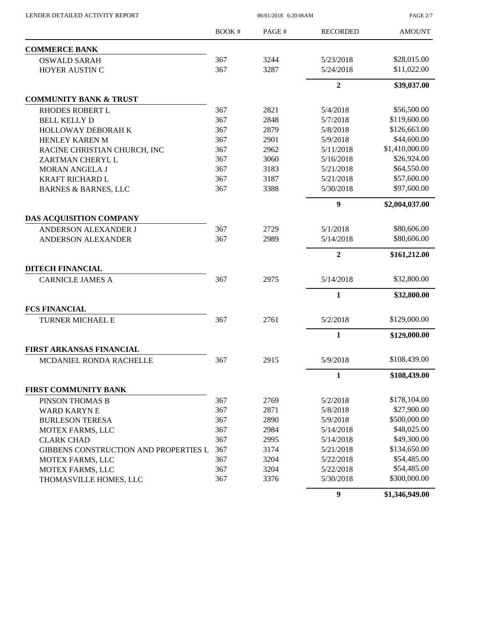| LENDER DETAILED ACTIVITY REPORT       | 06/01/2018 6:20:06AM |       |                  | PAGE 2/7       |
|---------------------------------------|----------------------|-------|------------------|----------------|
|                                       | <b>BOOK#</b>         | PAGE# | <b>RECORDED</b>  | <b>AMOUNT</b>  |
| <b>COMMERCE BANK</b>                  |                      |       |                  |                |
| <b>OSWALD SARAH</b>                   | 367                  | 3244  | 5/23/2018        | \$28,015.00    |
| HOYER AUSTIN C                        | 367                  | 3287  | 5/24/2018        | \$11,022.00    |
|                                       |                      |       | $\overline{2}$   | \$39,037.00    |
| <b>COMMUNITY BANK &amp; TRUST</b>     |                      |       |                  |                |
| <b>RHODES ROBERT L</b>                | 367                  | 2821  | 5/4/2018         | \$56,500.00    |
| <b>BELL KELLY D</b>                   | 367                  | 2848  | 5/7/2018         | \$119,600.00   |
| HOLLOWAY DEBORAH K                    | 367                  | 2879  | 5/8/2018         | \$126,663.00   |
| HENLEY KAREN M                        | 367                  | 2901  | 5/9/2018         | \$44,600.00    |
| RACINE CHRISTIAN CHURCH, INC          | 367                  | 2962  | 5/11/2018        | \$1,410,000.00 |
| ZARTMAN CHERYL L                      | 367                  | 3060  | 5/16/2018        | \$26,924.00    |
| MORAN ANGELA J                        | 367                  | 3183  | 5/21/2018        | \$64,550.00    |
| <b>KRAFT RICHARD L</b>                | 367                  | 3187  | 5/21/2018        | \$57,600.00    |
| <b>BARNES &amp; BARNES, LLC</b>       | 367                  | 3388  | 5/30/2018        | \$97,600.00    |
|                                       |                      |       | 9                | \$2,004,037.00 |
| DAS ACQUISITION COMPANY               |                      |       |                  |                |
| ANDERSON ALEXANDER J                  | 367                  | 2729  | 5/1/2018         | \$80,606.00    |
| ANDERSON ALEXANDER                    | 367                  | 2989  | 5/14/2018        | \$80,606.00    |
|                                       |                      |       | $\overline{2}$   | \$161,212.00   |
| <b>DITECH FINANCIAL</b>               |                      |       |                  |                |
| <b>CARNICLE JAMES A</b>               | 367                  | 2975  | 5/14/2018        | \$32,800.00    |
|                                       |                      |       | $\mathbf{1}$     | \$32,800.00    |
| <b>FCS FINANCIAL</b>                  |                      |       |                  |                |
| TURNER MICHAEL E                      | 367                  | 2761  | 5/2/2018         | \$129,000.00   |
|                                       |                      |       | $\mathbf{1}$     | \$129,000.00   |
| FIRST ARKANSAS FINANCIAL              |                      |       |                  |                |
| MCDANIEL RONDA RACHELLE               | 367                  | 2915  | 5/9/2018         | \$108,439.00   |
|                                       |                      |       | $\mathbf{1}$     | \$108,439.00   |
| FIRST COMMUNITY BANK                  |                      |       |                  |                |
| PINSON THOMAS B                       | 367                  | 2769  | 5/2/2018         | \$178,104.00   |
| <b>WARD KARYNE</b>                    | 367                  | 2871  | 5/8/2018         | \$27,900.00    |
| <b>BURLESON TERESA</b>                | 367                  | 2890  | 5/9/2018         | \$500,000.00   |
| MOTEX FARMS, LLC                      | 367                  | 2984  | 5/14/2018        | \$48,025.00    |
| <b>CLARK CHAD</b>                     | 367                  | 2995  | 5/14/2018        | \$49,300.00    |
| GIBBENS CONSTRUCTION AND PROPERTIES L | 367                  | 3174  | 5/21/2018        | \$134,650.00   |
| MOTEX FARMS, LLC                      | 367                  | 3204  | 5/22/2018        | \$54,485.00    |
| MOTEX FARMS, LLC                      | 367                  | 3204  | 5/22/2018        | \$54,485.00    |
| THOMASVILLE HOMES, LLC                | 367                  | 3376  | 5/30/2018        | \$300,000.00   |
|                                       |                      |       | $\boldsymbol{9}$ | \$1,346,949.00 |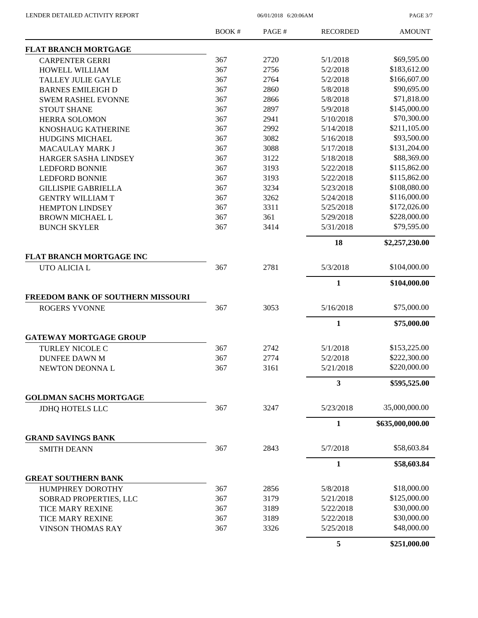PAGE 3/7

|                                   | <b>BOOK#</b> | PAGE# | <b>RECORDED</b> | <b>AMOUNT</b>    |
|-----------------------------------|--------------|-------|-----------------|------------------|
| <b>FLAT BRANCH MORTGAGE</b>       |              |       |                 |                  |
| <b>CARPENTER GERRI</b>            | 367          | 2720  | 5/1/2018        | \$69,595.00      |
| HOWELL WILLIAM                    | 367          | 2756  | 5/2/2018        | \$183,612.00     |
| <b>TALLEY JULIE GAYLE</b>         | 367          | 2764  | 5/2/2018        | \$166,607.00     |
| <b>BARNES EMILEIGH D</b>          | 367          | 2860  | 5/8/2018        | \$90,695.00      |
| <b>SWEM RASHEL EVONNE</b>         | 367          | 2866  | 5/8/2018        | \$71,818.00      |
| <b>STOUT SHANE</b>                | 367          | 2897  | 5/9/2018        | \$145,000.00     |
| <b>HERRA SOLOMON</b>              | 367          | 2941  | 5/10/2018       | \$70,300.00      |
| KNOSHAUG KATHERINE                | 367          | 2992  | 5/14/2018       | \$211,105.00     |
| <b>HUDGINS MICHAEL</b>            | 367          | 3082  | 5/16/2018       | \$93,500.00      |
| MACAULAY MARK J                   | 367          | 3088  | 5/17/2018       | \$131,204.00     |
| <b>HARGER SASHA LINDSEY</b>       | 367          | 3122  | 5/18/2018       | \$88,369.00      |
| <b>LEDFORD BONNIE</b>             | 367          | 3193  | 5/22/2018       | \$115,862.00     |
| <b>LEDFORD BONNIE</b>             | 367          | 3193  | 5/22/2018       | \$115,862.00     |
| <b>GILLISPIE GABRIELLA</b>        | 367          | 3234  | 5/23/2018       | \$108,080.00     |
| <b>GENTRY WILLIAM T</b>           | 367          | 3262  | 5/24/2018       | \$116,000.00     |
| <b>HEMPTON LINDSEY</b>            | 367          | 3311  | 5/25/2018       | \$172,026.00     |
| <b>BROWN MICHAEL L</b>            | 367          | 361   | 5/29/2018       | \$228,000.00     |
| <b>BUNCH SKYLER</b>               | 367          | 3414  | 5/31/2018       | \$79,595.00      |
|                                   |              |       | 18              | \$2,257,230.00   |
| FLAT BRANCH MORTGAGE INC          |              |       |                 |                  |
| UTO ALICIA L                      | 367          | 2781  | 5/3/2018        | \$104,000.00     |
|                                   |              |       | $\mathbf{1}$    | \$104,000.00     |
| FREEDOM BANK OF SOUTHERN MISSOURI |              |       |                 |                  |
| <b>ROGERS YVONNE</b>              | 367          | 3053  | 5/16/2018       | \$75,000.00      |
|                                   |              |       | $\mathbf{1}$    | \$75,000.00      |
| <b>GATEWAY MORTGAGE GROUP</b>     |              |       |                 |                  |
| <b>TURLEY NICOLE C</b>            | 367          | 2742  | 5/1/2018        | \$153,225.00     |
| <b>DUNFEE DAWN M</b>              | 367          | 2774  | 5/2/2018        | \$222,300.00     |
| NEWTON DEONNA L                   | 367          | 3161  | 5/21/2018       | \$220,000.00     |
|                                   |              |       | 3               | \$595,525.00     |
| <b>GOLDMAN SACHS MORTGAGE</b>     |              |       |                 |                  |
| <b>JDHQ HOTELS LLC</b>            | 367          | 3247  | 5/23/2018       | 35,000,000.00    |
|                                   |              |       | 1               | \$635,000,000.00 |
| <b>GRAND SAVINGS BANK</b>         |              |       |                 |                  |
| <b>SMITH DEANN</b>                | 367          | 2843  | 5/7/2018        | \$58,603.84      |
|                                   |              |       | $\mathbf{1}$    | \$58,603.84      |
| <b>GREAT SOUTHERN BANK</b>        |              |       |                 |                  |
| <b>HUMPHREY DOROTHY</b>           | 367          | 2856  | 5/8/2018        | \$18,000.00      |
| SOBRAD PROPERTIES, LLC            | 367          | 3179  | 5/21/2018       | \$125,000.00     |
| <b>TICE MARY REXINE</b>           | 367          | 3189  | 5/22/2018       | \$30,000.00      |
| <b>TICE MARY REXINE</b>           | 367          | 3189  | 5/22/2018       | \$30,000.00      |
| <b>VINSON THOMAS RAY</b>          | 367          | 3326  | 5/25/2018       | \$48,000.00      |
|                                   |              |       | 5               | \$251,000.00     |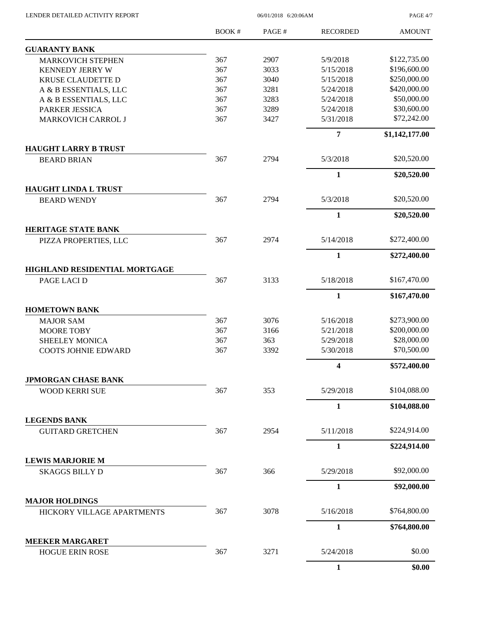| LENDER DETAILED ACTIVITY REPORT                     |              | PAGE 4/7 |                 |                |
|-----------------------------------------------------|--------------|----------|-----------------|----------------|
|                                                     | <b>BOOK#</b> | PAGE#    | <b>RECORDED</b> | <b>AMOUNT</b>  |
| <b>GUARANTY BANK</b>                                |              |          |                 |                |
| <b>MARKOVICH STEPHEN</b>                            | 367          | 2907     | 5/9/2018        | \$122,735.00   |
| <b>KENNEDY JERRY W</b>                              | 367          | 3033     | 5/15/2018       | \$196,600.00   |
| KRUSE CLAUDETTE D                                   | 367          | 3040     | 5/15/2018       | \$250,000.00   |
| A & B ESSENTIALS, LLC                               | 367          | 3281     | 5/24/2018       | \$420,000.00   |
| A & B ESSENTIALS, LLC                               | 367          | 3283     | 5/24/2018       | \$50,000.00    |
| PARKER JESSICA                                      | 367          | 3289     | 5/24/2018       | \$30,600.00    |
| MARKOVICH CARROL J                                  | 367          | 3427     | 5/31/2018       | \$72,242.00    |
|                                                     |              |          | $\overline{7}$  | \$1,142,177.00 |
| <b>HAUGHT LARRY B TRUST</b><br><b>BEARD BRIAN</b>   | 367          | 2794     | 5/3/2018        | \$20,520.00    |
|                                                     |              |          |                 |                |
| <b>HAUGHT LINDA L TRUST</b>                         |              |          | $\mathbf{1}$    | \$20,520.00    |
| <b>BEARD WENDY</b>                                  | 367          | 2794     | 5/3/2018        | \$20,520.00    |
|                                                     |              |          | $\mathbf{1}$    | \$20,520.00    |
| <b>HERITAGE STATE BANK</b>                          |              |          |                 |                |
| PIZZA PROPERTIES, LLC                               | 367          | 2974     | 5/14/2018       | \$272,400.00   |
|                                                     |              |          | $\mathbf{1}$    | \$272,400.00   |
| HIGHLAND RESIDENTIAL MORTGAGE                       |              |          |                 |                |
| PAGE LACI D                                         | 367          | 3133     | 5/18/2018       | \$167,470.00   |
|                                                     |              |          | $\mathbf{1}$    | \$167,470.00   |
| <b>HOMETOWN BANK</b>                                |              |          |                 |                |
| <b>MAJOR SAM</b>                                    | 367          | 3076     | 5/16/2018       | \$273,900.00   |
| <b>MOORE TOBY</b>                                   | 367          | 3166     | 5/21/2018       | \$200,000.00   |
| <b>SHEELEY MONICA</b>                               | 367          | 363      | 5/29/2018       | \$28,000.00    |
| <b>COOTS JOHNIE EDWARD</b>                          | 367          | 3392     | 5/30/2018       | \$70,500.00    |
|                                                     |              |          | 4               | \$572,400.00   |
| <b>JPMORGAN CHASE BANK</b><br><b>WOOD KERRI SUE</b> | 367          | 353      | 5/29/2018       | \$104,088.00   |
|                                                     |              |          | $\mathbf{1}$    | \$104,088.00   |
| <b>LEGENDS BANK</b>                                 |              |          |                 |                |
| <b>GUITARD GRETCHEN</b>                             | 367          | 2954     | 5/11/2018       | \$224,914.00   |
|                                                     |              |          | $\mathbf{1}$    | \$224,914.00   |
| <b>LEWIS MARJORIE M</b>                             |              |          |                 |                |
| <b>SKAGGS BILLY D</b>                               | 367          | 366      | 5/29/2018       | \$92,000.00    |
|                                                     |              |          | $\mathbf{1}$    | \$92,000.00    |
| <b>MAJOR HOLDINGS</b>                               | 367          | 3078     | 5/16/2018       | \$764,800.00   |
| HICKORY VILLAGE APARTMENTS                          |              |          |                 |                |
| <b>MEEKER MARGARET</b>                              |              |          | 1               | \$764,800.00   |
| <b>HOGUE ERIN ROSE</b>                              | 367          | 3271     | 5/24/2018       | \$0.00         |
|                                                     |              |          | $\mathbf{1}$    | \$0.00         |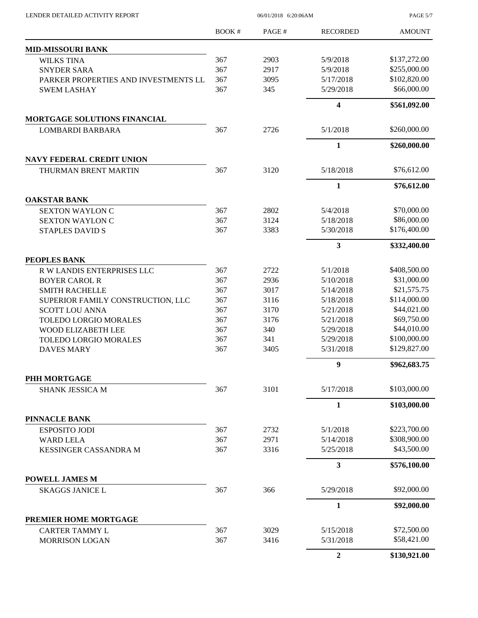$06/01/2018$  6:20:06AM

PAGE 5/7

|                                               | BOOK# | PAGE# | <b>RECORDED</b> | <b>AMOUNT</b>              |
|-----------------------------------------------|-------|-------|-----------------|----------------------------|
| <b>MID-MISSOURI BANK</b>                      |       |       |                 |                            |
| <b>WILKS TINA</b>                             | 367   | 2903  | 5/9/2018        | \$137,272.00               |
| <b>SNYDER SARA</b>                            | 367   | 2917  | 5/9/2018        | \$255,000.00               |
| PARKER PROPERTIES AND INVESTMENTS LL          | 367   | 3095  | 5/17/2018       | \$102,820.00               |
| <b>SWEM LASHAY</b>                            | 367   | 345   | 5/29/2018       | \$66,000.00                |
|                                               |       |       | 4               | \$561,092.00               |
| <b>MORTGAGE SOLUTIONS FINANCIAL</b>           |       |       |                 |                            |
| <b>LOMBARDI BARBARA</b>                       | 367   | 2726  | 5/1/2018        | \$260,000.00               |
|                                               |       |       | 1               | \$260,000.00               |
| <b>NAVY FEDERAL CREDIT UNION</b>              |       |       |                 |                            |
| THURMAN BRENT MARTIN                          | 367   | 3120  | 5/18/2018       | \$76,612.00                |
|                                               |       |       | 1               | \$76,612.00                |
| <b>OAKSTAR BANK</b><br><b>SEXTON WAYLON C</b> | 367   | 2802  | 5/4/2018        | \$70,000.00                |
| <b>SEXTON WAYLON C</b>                        | 367   | 3124  | 5/18/2018       | \$86,000.00                |
| <b>STAPLES DAVID S</b>                        | 367   | 3383  | 5/30/2018       | \$176,400.00               |
|                                               |       |       |                 |                            |
| PEOPLES BANK                                  |       |       | 3               | \$332,400.00               |
| R W LANDIS ENTERPRISES LLC                    | 367   | 2722  | 5/1/2018        | \$408,500.00               |
| <b>BOYER CAROL R</b>                          | 367   | 2936  | 5/10/2018       | \$31,000.00                |
| <b>SMITH RACHELLE</b>                         | 367   | 3017  | 5/14/2018       | \$21,575.75                |
| SUPERIOR FAMILY CONSTRUCTION, LLC             | 367   | 3116  | 5/18/2018       | \$114,000.00               |
| <b>SCOTT LOU ANNA</b>                         | 367   | 3170  | 5/21/2018       | \$44,021.00                |
| <b>TOLEDO LORGIO MORALES</b>                  | 367   | 3176  | 5/21/2018       | \$69,750.00                |
| WOOD ELIZABETH LEE                            | 367   | 340   | 5/29/2018       | \$44,010.00                |
| <b>TOLEDO LORGIO MORALES</b>                  | 367   | 341   | 5/29/2018       | \$100,000.00               |
| <b>DAVES MARY</b>                             | 367   | 3405  | 5/31/2018       | \$129,827.00               |
|                                               |       |       | 9               | \$962,683.75               |
| PHH MORTGAGE                                  |       |       |                 |                            |
| <b>SHANK JESSICA M</b>                        | 367   | 3101  | 5/17/2018       | \$103,000.00               |
|                                               |       |       | $\mathbf{1}$    | \$103,000.00               |
| <b>PINNACLE BANK</b>                          |       |       |                 |                            |
| <b>ESPOSITO JODI</b>                          | 367   | 2732  | 5/1/2018        | \$223,700.00               |
| <b>WARD LELA</b>                              | 367   | 2971  | 5/14/2018       | \$308,900.00               |
| KESSINGER CASSANDRA M                         | 367   | 3316  | 5/25/2018       | \$43,500.00                |
|                                               |       |       | 3               | \$576,100.00               |
| <b>POWELL JAMES M</b>                         |       |       |                 |                            |
| <b>SKAGGS JANICE L</b>                        | 367   | 366   | 5/29/2018       | \$92,000.00                |
|                                               |       |       | 1               | \$92,000.00                |
| PREMIER HOME MORTGAGE                         |       |       |                 |                            |
| <b>CARTER TAMMY L</b>                         | 367   | 3029  | 5/15/2018       | \$72,500.00<br>\$58,421.00 |
| <b>MORRISON LOGAN</b>                         | 367   | 3416  | 5/31/2018       |                            |
|                                               |       |       | $\overline{2}$  | \$130,921.00               |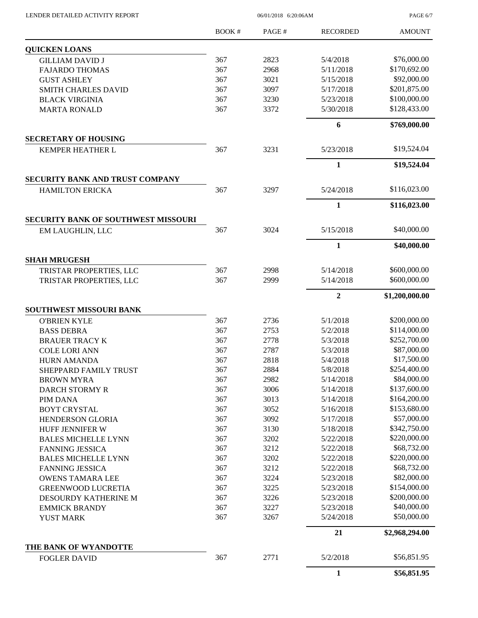$06/01/2018$   $6:20:06\mathrm{AM}$ 

PAGE 6/7

|                                            | <b>BOOK#</b> | PAGE# | <b>RECORDED</b> | <b>AMOUNT</b>  |
|--------------------------------------------|--------------|-------|-----------------|----------------|
| <b>QUICKEN LOANS</b>                       |              |       |                 |                |
| <b>GILLIAM DAVID J</b>                     | 367          | 2823  | 5/4/2018        | \$76,000.00    |
| <b>FAJARDO THOMAS</b>                      | 367          | 2968  | 5/11/2018       | \$170,692.00   |
| <b>GUST ASHLEY</b>                         | 367          | 3021  | 5/15/2018       | \$92,000.00    |
| <b>SMITH CHARLES DAVID</b>                 | 367          | 3097  | 5/17/2018       | \$201,875.00   |
| <b>BLACK VIRGINIA</b>                      | 367          | 3230  | 5/23/2018       | \$100,000.00   |
| <b>MARTA RONALD</b>                        | 367          | 3372  | 5/30/2018       | \$128,433.00   |
|                                            |              |       | 6               | \$769,000.00   |
| <b>SECRETARY OF HOUSING</b>                |              |       |                 |                |
| KEMPER HEATHER L                           | 367          | 3231  | 5/23/2018       | \$19,524.04    |
|                                            |              |       | 1               | \$19,524.04    |
| <b>SECURITY BANK AND TRUST COMPANY</b>     |              |       |                 |                |
| <b>HAMILTON ERICKA</b>                     | 367          | 3297  | 5/24/2018       | \$116,023.00   |
|                                            |              |       | $\mathbf{1}$    | \$116,023.00   |
| <b>SECURITY BANK OF SOUTHWEST MISSOURI</b> |              |       |                 |                |
| EM LAUGHLIN, LLC                           | 367          | 3024  | 5/15/2018       | \$40,000.00    |
|                                            |              |       | $\mathbf{1}$    | \$40,000.00    |
| <b>SHAH MRUGESH</b>                        |              |       |                 |                |
| TRISTAR PROPERTIES, LLC                    | 367          | 2998  | 5/14/2018       | \$600,000.00   |
| TRISTAR PROPERTIES, LLC                    | 367          | 2999  | 5/14/2018       | \$600,000.00   |
|                                            |              |       | $\overline{2}$  | \$1,200,000.00 |
| SOUTHWEST MISSOURI BANK                    |              |       |                 |                |
| <b>O'BRIEN KYLE</b>                        | 367          | 2736  | 5/1/2018        | \$200,000.00   |
| <b>BASS DEBRA</b>                          | 367          | 2753  | 5/2/2018        | \$114,000.00   |
| <b>BRAUER TRACY K</b>                      | 367          | 2778  | 5/3/2018        | \$252,700.00   |
| <b>COLE LORI ANN</b>                       | 367          | 2787  | 5/3/2018        | \$87,000.00    |
| <b>HURN AMANDA</b>                         | 367          | 2818  | 5/4/2018        | \$17,500.00    |
| SHEPPARD FAMILY TRUST                      | 367          | 2884  | 5/8/2018        | \$254,400.00   |
| <b>BROWN MYRA</b>                          | 367          | 2982  | 5/14/2018       | \$84,000.00    |
| <b>DARCH STORMY R</b>                      | 367          | 3006  | 5/14/2018       | \$137,600.00   |
| PIM DANA                                   | 367          | 3013  | 5/14/2018       | \$164,200.00   |
| <b>BOYT CRYSTAL</b>                        | 367          | 3052  | 5/16/2018       | \$153,680.00   |
| <b>HENDERSON GLORIA</b>                    | 367          | 3092  | 5/17/2018       | \$57,000.00    |
| HUFF JENNIFER W                            | 367          | 3130  | 5/18/2018       | \$342,750.00   |
| <b>BALES MICHELLE LYNN</b>                 | 367          | 3202  | 5/22/2018       | \$220,000.00   |
| <b>FANNING JESSICA</b>                     | 367          | 3212  | 5/22/2018       | \$68,732.00    |
| <b>BALES MICHELLE LYNN</b>                 | 367          | 3202  | 5/22/2018       | \$220,000.00   |
| <b>FANNING JESSICA</b>                     | 367          | 3212  | 5/22/2018       | \$68,732.00    |
| <b>OWENS TAMARA LEE</b>                    | 367          | 3224  | 5/23/2018       | \$82,000.00    |
| <b>GREENWOOD LUCRETIA</b>                  | 367          | 3225  | 5/23/2018       | \$154,000.00   |
| DESOURDY KATHERINE M                       | 367          | 3226  | 5/23/2018       | \$200,000.00   |
| <b>EMMICK BRANDY</b>                       | 367          | 3227  | 5/23/2018       | \$40,000.00    |
| <b>YUST MARK</b>                           | 367          | 3267  | 5/24/2018       | \$50,000.00    |
|                                            |              |       | 21              | \$2,968,294.00 |
| THE BANK OF WYANDOTTE                      |              |       |                 |                |
| <b>FOGLER DAVID</b>                        | 367          | 2771  | 5/2/2018        | \$56,851.95    |
|                                            |              |       | $\mathbf{1}$    | \$56,851.95    |